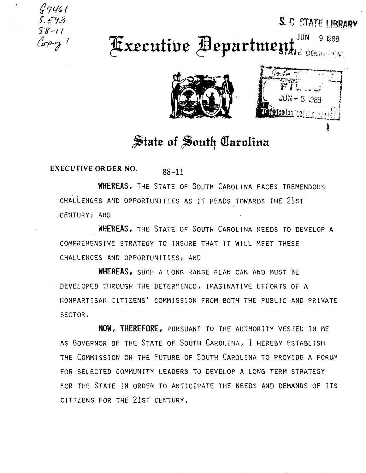~7l/~ *( S.E93*  >IF -1 I

## **Fixecutive Department** JUN 9 1988



**S.** C. STATE UBRARV

## $\frac{1}{2}$ tate of South Carolina

**EXECUTIVE ORDER NO.** 88-11

**WHEREAS.** THE STATE OF SOUTH CAROLINA FACES TREMENDOUS CHALLENGES AND OPPORTUNITIES AS IT HEADS TOWARDS THE 21ST CENTURY; AND

**WHEREAS.** THE STATE OF SOUTH CAROLINA NEEDS TO DEVELOP A COMPREHENSIVE STRATEGY TO INSURE THAT IT WILL MEET THESE CHALLENGES AND OPPORTUNITIES; AND

**WHEREAS.** SUCH A LONG RANGE PLAN CAN AND MUST BE DEVELOPED THROUGH THE DETERMINED, IMAGINATIVE EFFORTS OF A NONPARTISAN CITIZENS' COMMISSION FROM BOTH THE PUBLIC AND PRIVATE SECTOR,

**NOW, THEREFORE, PURSUANT TO THE AUTHORITY VESTED IN ME** AS GOVERNOR OF THE STATE OF SOUTH CAROLINA, l HEREBY ESTABLISH THE COMMISSION ON THE FUTURE OF SOUTH CAROLINA TO PROVIDE A FORUM FOR SELECTED COMMUNITY LEADERS TO DEVELOP A LONG TERM STRATEGY FOR THE STATE IN ORDER TO ANTICIPATE THE NEEDS AND DEMANDS OF ITS CITIZENS FOR THE 21ST CENTURY,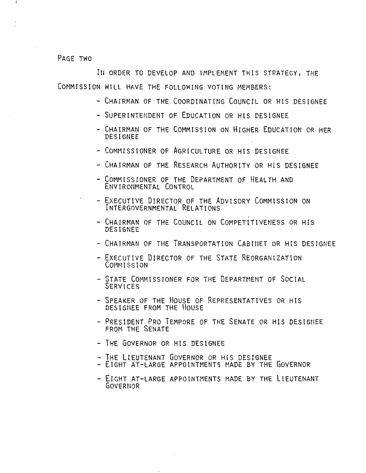PAGE TWO

IN ORDER TO DEVELOP AND IMPLEMENT THIS STRATEGY, THE COMMISSION WILL HAVE THE FOLLOWING VOTING MEMBERS:

- CHAIRMAN OF THE COORDINATING COUNCIL OR HIS DESIGNEE

- SUPERINTENDENT OF EDUCATION OR HIS DESIGNEE
- CHAIRMAN OF THE COMMISSION ON HIGHER EDUCATION OR HER DESIGNEE
- COMMISSIONER OF AGRICULTURE OR HIS DESIGNEE
- CHAIRMAN OF THE RESEARCH AUTHORITY OR HIS DESIGNEE
- -COMMISSIONER OF THE DEPARTMENT OF HEALTH AND ENVIRONMENTAL CONTROL
- EXECUTIVE DIRECTOR OF THE ADVISORY COMMISSION ON INTERGOVERNMENTAL RELATIONS
- CHAIRMAN OF THE COUNCIL ON COMPETITIVENESS OR HIS DESIGNEE
- CHAIRMAN OF THE TRANSPORTATION CABINET OR HIS DESIGNEE
- EXECUTIVE DIRECTOR OF THE STATE REORGANIZATION COMMISSION
- STATE COMMISSIONER FOR THE DEPARTMENT OF SOCIAL SERVICES
- SPEAKER OF THE HOUSE OF REPRESENTATIVES OR HIS DESIGNEE FROM THE HOUSE
- PRESIDENT PRO TEMPORE OF THE SENATE OR HIS DESIGNEE FROM THE SENATE
- THE GOVERNOR OR HIS DESIGNEE
- THE LIEUTENANT GOVERNOR OR HIS DESIGNEE EIGHT AT-LARGE APPOINTMENTS MADE BY THE GOVERNOR
- 
- EIGHT AT-LARGE APPOINTMENTS MADE BY THE LIEUTENANT GOVERNOR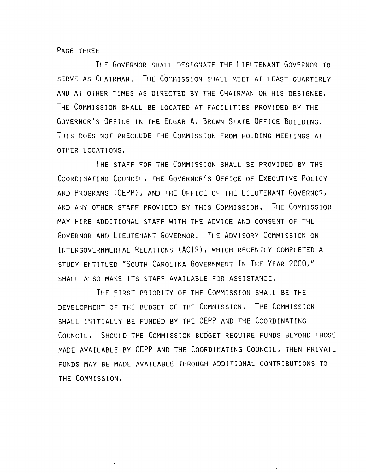PAGE THREE

THE GOVERNOR SHALL DESIGtlATE THE LIEUTENANT GOVERNOR TO SERVE AS CHAIRMAN. THE COMMISSION SHALL MEET AT LEAST QUARTERLY AND AT OTHER TIMES AS DIRECTED BY THE CHAIRMAN OR HIS DESIGNEE. THE COMMISSION SHALL BE LOCATED AT FACILITIES PROVIDED BY THE GOVERNOR'S OFFICE IN THE EDGAR A. BROWN STATE OFFICE BUILDING. THIS DOES NOT PRECLUDE THE COMMISSION FROM HOLDING MEETINGS AT OTHER LOCATIONS.

THE STAFF FOR THE COMMISSION SHALL BE PROVIDED BY THE COORDINATING COUNCIL, THE GOVERNOR'S OFFICE OF EXECUTIVE POLICY AND PROGRAMS (0EPP), AND THE OFFICE OF THE LIEUTENANT GOVERNOR, AND ANY OTHER STAFF PROVIDED BY THIS COMMISSION. THE COMMISSION MAY HIRE ADDITIONAL STAFF WITH THE ADVICE AND CONSENT OF THE GOVERNOR AND LIEUTEflANT GOVERNOR. THE ADVISORY COMMISSION ON INTERGOVERNMENTAL RELATIONS (ACIR), WHICH RECENTLY COMPLETED A STUDY ENTITLED "SOUTH CAROLINA GOVERNMENT IN THE YEAR 2000," SHALL ALSO MAKE ITS STAFF AVAILABLE FOR ASSISTANCE,

THE FIRST PRIORITY OF THE COMMISSION SHALL BE THE DEVELOPMEflT OF THE BUDGET OF THE COMMISSION. THE COMMISSION SHALL INITIALLY BE FUNDED BY THE OEPP AND THE COORDINATING COUNCIL. SHOULD THE COMMISSION BUDGET REQUIRE FUNDS BEYOND THOSE MADE AVAILABLE BY OEPP AND THE COORDINATING COUNCIL, THEN PRIVATE FUNDS MAY BE MADE AVAILABLE THROUGH ADDITIONAL CONTRIBUTIONS TO THE COMMISSION.